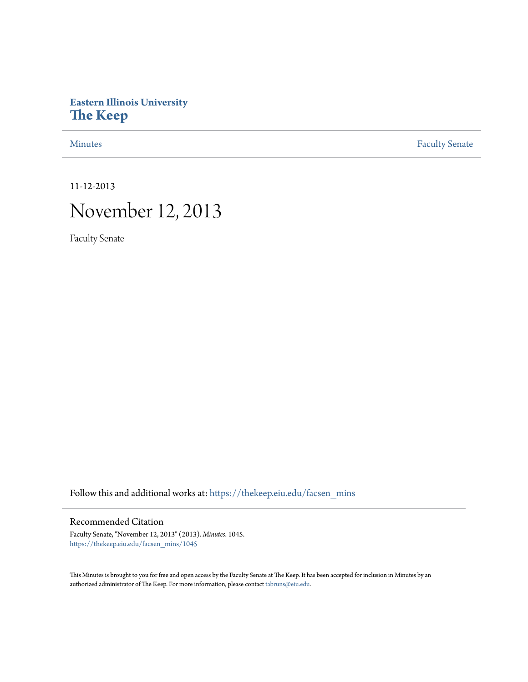## **Eastern Illinois University [The Keep](https://thekeep.eiu.edu?utm_source=thekeep.eiu.edu%2Ffacsen_mins%2F1045&utm_medium=PDF&utm_campaign=PDFCoverPages)**

[Minutes](https://thekeep.eiu.edu/facsen_mins?utm_source=thekeep.eiu.edu%2Ffacsen_mins%2F1045&utm_medium=PDF&utm_campaign=PDFCoverPages) **[Faculty Senate](https://thekeep.eiu.edu/fac_senate?utm_source=thekeep.eiu.edu%2Ffacsen_mins%2F1045&utm_medium=PDF&utm_campaign=PDFCoverPages)** 

11-12-2013

# November 12, 2013

Faculty Senate

Follow this and additional works at: [https://thekeep.eiu.edu/facsen\\_mins](https://thekeep.eiu.edu/facsen_mins?utm_source=thekeep.eiu.edu%2Ffacsen_mins%2F1045&utm_medium=PDF&utm_campaign=PDFCoverPages)

#### Recommended Citation

Faculty Senate, "November 12, 2013" (2013). *Minutes*. 1045. [https://thekeep.eiu.edu/facsen\\_mins/1045](https://thekeep.eiu.edu/facsen_mins/1045?utm_source=thekeep.eiu.edu%2Ffacsen_mins%2F1045&utm_medium=PDF&utm_campaign=PDFCoverPages)

This Minutes is brought to you for free and open access by the Faculty Senate at The Keep. It has been accepted for inclusion in Minutes by an authorized administrator of The Keep. For more information, please contact [tabruns@eiu.edu](mailto:tabruns@eiu.edu).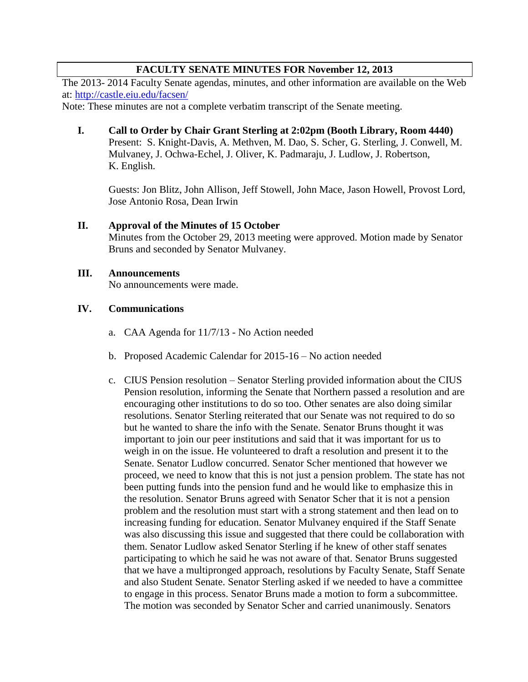## **FACULTY SENATE MINUTES FOR November 12, 2013**

The 2013- 2014 Faculty Senate agendas, minutes, and other information are available on the Web at:<http://castle.eiu.edu/facsen/>

Note: These minutes are not a complete verbatim transcript of the Senate meeting.

**I. Call to Order by Chair Grant Sterling at 2:02pm (Booth Library, Room 4440)**  Present: S. Knight-Davis, A. Methven, M. Dao, S. Scher, G. Sterling, J. Conwell, M. Mulvaney, J. Ochwa-Echel, J. Oliver, K. Padmaraju, J. Ludlow, J. Robertson, K. English.

Guests: Jon Blitz, John Allison, Jeff Stowell, John Mace, Jason Howell, Provost Lord, Jose Antonio Rosa, Dean Irwin

## **II. Approval of the Minutes of 15 October**

Minutes from the October 29, 2013 meeting were approved. Motion made by Senator Bruns and seconded by Senator Mulvaney.

#### **III. Announcements**

No announcements were made.

## **IV. Communications**

- a. CAA Agenda for 11/7/13 No Action needed
- b. Proposed Academic Calendar for 2015-16 No action needed
- c. CIUS Pension resolution Senator Sterling provided information about the CIUS Pension resolution, informing the Senate that Northern passed a resolution and are encouraging other institutions to do so too. Other senates are also doing similar resolutions. Senator Sterling reiterated that our Senate was not required to do so but he wanted to share the info with the Senate. Senator Bruns thought it was important to join our peer institutions and said that it was important for us to weigh in on the issue. He volunteered to draft a resolution and present it to the Senate. Senator Ludlow concurred. Senator Scher mentioned that however we proceed, we need to know that this is not just a pension problem. The state has not been putting funds into the pension fund and he would like to emphasize this in the resolution. Senator Bruns agreed with Senator Scher that it is not a pension problem and the resolution must start with a strong statement and then lead on to increasing funding for education. Senator Mulvaney enquired if the Staff Senate was also discussing this issue and suggested that there could be collaboration with them. Senator Ludlow asked Senator Sterling if he knew of other staff senates participating to which he said he was not aware of that. Senator Bruns suggested that we have a multipronged approach, resolutions by Faculty Senate, Staff Senate and also Student Senate. Senator Sterling asked if we needed to have a committee to engage in this process. Senator Bruns made a motion to form a subcommittee. The motion was seconded by Senator Scher and carried unanimously. Senators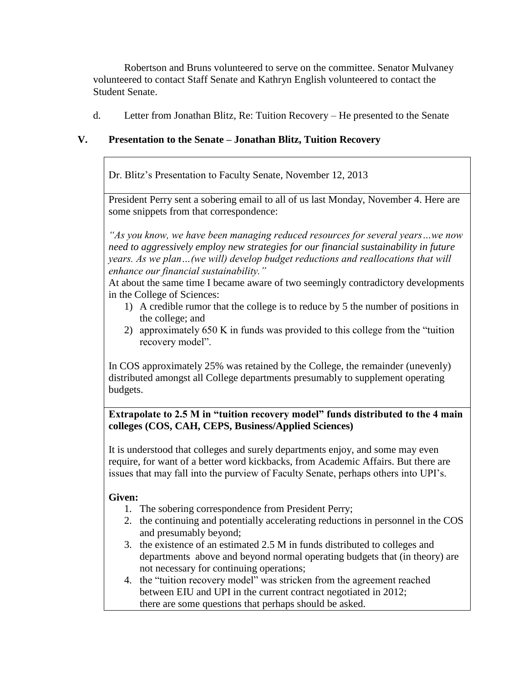Robertson and Bruns volunteered to serve on the committee. Senator Mulvaney volunteered to contact Staff Senate and Kathryn English volunteered to contact the Student Senate.

d. Letter from Jonathan Blitz, Re: Tuition Recovery – He presented to the Senate

## **V. Presentation to the Senate – Jonathan Blitz, Tuition Recovery**

Dr. Blitz's Presentation to Faculty Senate, November 12, 2013

President Perry sent a sobering email to all of us last Monday, November 4. Here are some snippets from that correspondence:

*"As you know, we have been managing reduced resources for several years…we now need to aggressively employ new strategies for our financial sustainability in future years. As we plan…(we will) develop budget reductions and reallocations that will enhance our financial sustainability."*

At about the same time I became aware of two seemingly contradictory developments in the College of Sciences:

- 1) A credible rumor that the college is to reduce by 5 the number of positions in the college; and
- 2) approximately 650 K in funds was provided to this college from the "tuition recovery model".

In COS approximately 25% was retained by the College, the remainder (unevenly) distributed amongst all College departments presumably to supplement operating budgets.

## **Extrapolate to 2.5 M in "tuition recovery model" funds distributed to the 4 main colleges (COS, CAH, CEPS, Business/Applied Sciences)**

It is understood that colleges and surely departments enjoy, and some may even require, for want of a better word kickbacks, from Academic Affairs. But there are issues that may fall into the purview of Faculty Senate, perhaps others into UPI's.

## **Given:**

- 1. The sobering correspondence from President Perry;
- 2. the continuing and potentially accelerating reductions in personnel in the COS and presumably beyond;
- 3. the existence of an estimated 2.5 M in funds distributed to colleges and departments above and beyond normal operating budgets that (in theory) are not necessary for continuing operations;
- 4. the "tuition recovery model" was stricken from the agreement reached between EIU and UPI in the current contract negotiated in 2012; there are some questions that perhaps should be asked.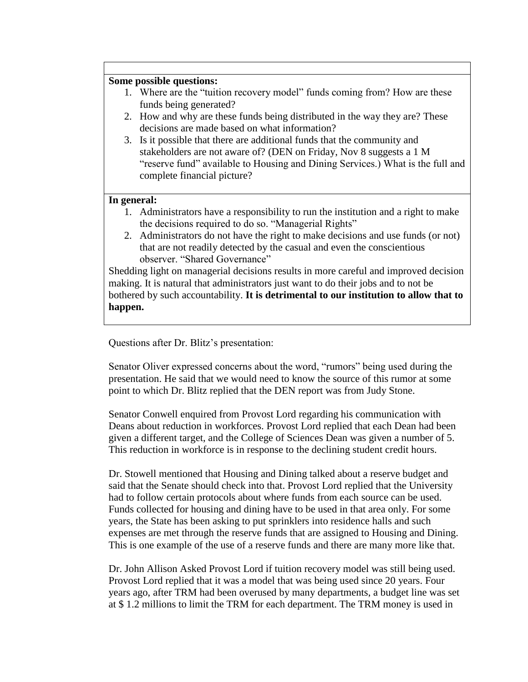## **Some possible questions:**

- 1. Where are the "tuition recovery model" funds coming from? How are these funds being generated?
- 2. How and why are these funds being distributed in the way they are? These decisions are made based on what information?
- 3. Is it possible that there are additional funds that the community and stakeholders are not aware of? (DEN on Friday, Nov 8 suggests a 1 M "reserve fund" available to Housing and Dining Services.) What is the full and complete financial picture?

#### **In general:**

- 1. Administrators have a responsibility to run the institution and a right to make the decisions required to do so. "Managerial Rights"
- 2. Administrators do not have the right to make decisions and use funds (or not) that are not readily detected by the casual and even the conscientious observer. "Shared Governance"

Shedding light on managerial decisions results in more careful and improved decision making. It is natural that administrators just want to do their jobs and to not be bothered by such accountability. **It is detrimental to our institution to allow that to happen.**

Questions after Dr. Blitz's presentation:

Senator Oliver expressed concerns about the word, "rumors" being used during the presentation. He said that we would need to know the source of this rumor at some point to which Dr. Blitz replied that the DEN report was from Judy Stone.

Senator Conwell enquired from Provost Lord regarding his communication with Deans about reduction in workforces. Provost Lord replied that each Dean had been given a different target, and the College of Sciences Dean was given a number of 5. This reduction in workforce is in response to the declining student credit hours.

Dr. Stowell mentioned that Housing and Dining talked about a reserve budget and said that the Senate should check into that. Provost Lord replied that the University had to follow certain protocols about where funds from each source can be used. Funds collected for housing and dining have to be used in that area only. For some years, the State has been asking to put sprinklers into residence halls and such expenses are met through the reserve funds that are assigned to Housing and Dining. This is one example of the use of a reserve funds and there are many more like that.

Dr. John Allison Asked Provost Lord if tuition recovery model was still being used. Provost Lord replied that it was a model that was being used since 20 years. Four years ago, after TRM had been overused by many departments, a budget line was set at \$ 1.2 millions to limit the TRM for each department. The TRM money is used in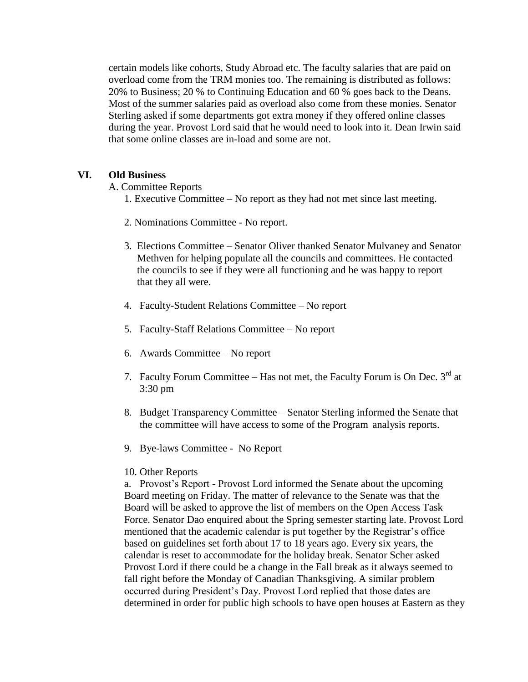certain models like cohorts, Study Abroad etc. The faculty salaries that are paid on overload come from the TRM monies too. The remaining is distributed as follows: 20% to Business; 20 % to Continuing Education and 60 % goes back to the Deans. Most of the summer salaries paid as overload also come from these monies. Senator Sterling asked if some departments got extra money if they offered online classes during the year. Provost Lord said that he would need to look into it. Dean Irwin said that some online classes are in-load and some are not.

## **VI. Old Business**

A. Committee Reports

- 1. Executive Committee No report as they had not met since last meeting.
- 2. Nominations Committee No report.
- 3. Elections Committee Senator Oliver thanked Senator Mulvaney and Senator Methven for helping populate all the councils and committees. He contacted the councils to see if they were all functioning and he was happy to report that they all were.
- 4. Faculty-Student Relations Committee No report
- 5. Faculty-Staff Relations Committee No report
- 6. Awards Committee No report
- 7. Faculty Forum Committee Has not met, the Faculty Forum is On Dec.  $3<sup>rd</sup>$  at 3:30 pm
- 8. Budget Transparency Committee Senator Sterling informed the Senate that the committee will have access to some of the Program analysis reports.
- 9. Bye-laws Committee No Report

#### 10. Other Reports

a. Provost's Report - Provost Lord informed the Senate about the upcoming Board meeting on Friday. The matter of relevance to the Senate was that the Board will be asked to approve the list of members on the Open Access Task Force. Senator Dao enquired about the Spring semester starting late. Provost Lord mentioned that the academic calendar is put together by the Registrar's office based on guidelines set forth about 17 to 18 years ago. Every six years, the calendar is reset to accommodate for the holiday break. Senator Scher asked Provost Lord if there could be a change in the Fall break as it always seemed to fall right before the Monday of Canadian Thanksgiving. A similar problem occurred during President's Day. Provost Lord replied that those dates are determined in order for public high schools to have open houses at Eastern as they